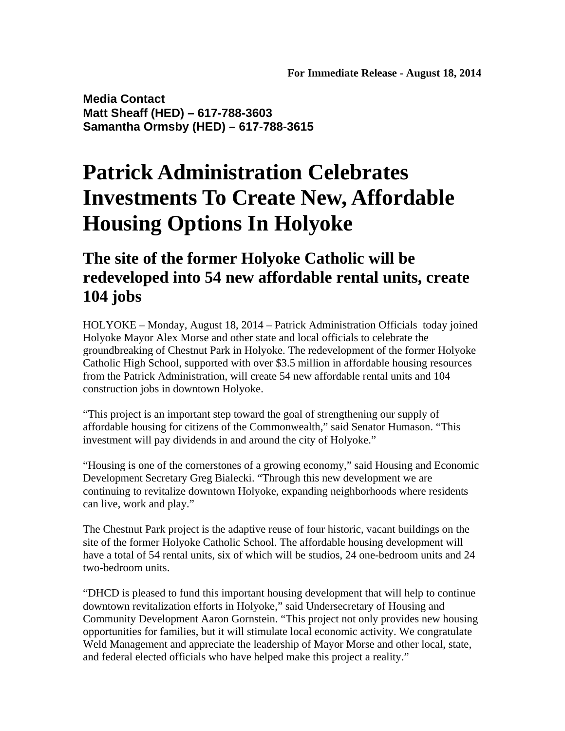**Media Contact Matt Sheaff (HED) – 617-788-3603 Samantha Ormsby (HED) – 617-788-3615** 

## **Patrick Administration Celebrates Investments To Create New, Affordable Housing Options In Holyoke**

## **The site of the former Holyoke Catholic will be redeveloped into 54 new affordable rental units, create 104 jobs**

HOLYOKE – Monday, August 18, 2014 – Patrick Administration Officials today joined Holyoke Mayor Alex Morse and other state and local officials to celebrate the groundbreaking of Chestnut Park in Holyoke. The redevelopment of the former Holyoke Catholic High School, supported with over \$3.5 million in affordable housing resources from the Patrick Administration, will create 54 new affordable rental units and 104 construction jobs in downtown Holyoke.

"This project is an important step toward the goal of strengthening our supply of affordable housing for citizens of the Commonwealth," said Senator Humason. "This investment will pay dividends in and around the city of Holyoke."

"Housing is one of the cornerstones of a growing economy," said Housing and Economic Development Secretary Greg Bialecki. "Through this new development we are continuing to revitalize downtown Holyoke, expanding neighborhoods where residents can live, work and play."

The Chestnut Park project is the adaptive reuse of four historic, vacant buildings on the site of the former Holyoke Catholic School. The affordable housing development will have a total of 54 rental units, six of which will be studios, 24 one-bedroom units and 24 two-bedroom units.

"DHCD is pleased to fund this important housing development that will help to continue downtown revitalization efforts in Holyoke," said Undersecretary of Housing and Community Development Aaron Gornstein. "This project not only provides new housing opportunities for families, but it will stimulate local economic activity. We congratulate Weld Management and appreciate the leadership of Mayor Morse and other local, state, and federal elected officials who have helped make this project a reality."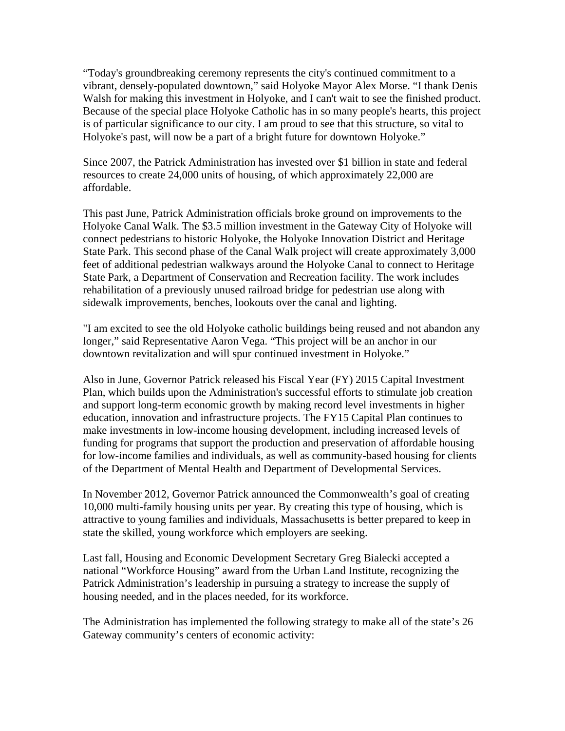"Today's groundbreaking ceremony represents the city's continued commitment to a vibrant, densely-populated downtown," said Holyoke Mayor Alex Morse. "I thank Denis Walsh for making this investment in Holyoke, and I can't wait to see the finished product. Because of the special place Holyoke Catholic has in so many people's hearts, this project is of particular significance to our city. I am proud to see that this structure, so vital to Holyoke's past, will now be a part of a bright future for downtown Holyoke."

Since 2007, the Patrick Administration has invested over \$1 billion in state and federal resources to create 24,000 units of housing, of which approximately 22,000 are affordable.

This past June, Patrick Administration officials broke ground on improvements to the Holyoke Canal Walk. The \$3.5 million investment in the Gateway City of Holyoke will connect pedestrians to historic Holyoke, the Holyoke Innovation District and Heritage State Park. This second phase of the Canal Walk project will create approximately 3,000 feet of additional pedestrian walkways around the Holyoke Canal to connect to Heritage State Park, a Department of Conservation and Recreation facility. The work includes rehabilitation of a previously unused railroad bridge for pedestrian use along with sidewalk improvements, benches, lookouts over the canal and lighting.

"I am excited to see the old Holyoke catholic buildings being reused and not abandon any longer," said Representative Aaron Vega. "This project will be an anchor in our downtown revitalization and will spur continued investment in Holyoke."

Also in June, Governor Patrick released his Fiscal Year (FY) 2015 Capital Investment Plan, which builds upon the Administration's successful efforts to stimulate job creation and support long-term economic growth by making record level investments in higher education, innovation and infrastructure projects. The FY15 Capital Plan continues to make investments in low-income housing development, including increased levels of funding for programs that support the production and preservation of affordable housing for low-income families and individuals, as well as community-based housing for clients of the Department of Mental Health and Department of Developmental Services.

In November 2012, Governor Patrick announced the Commonwealth's goal of creating 10,000 multi-family housing units per year. By creating this type of housing, which is attractive to young families and individuals, Massachusetts is better prepared to keep in state the skilled, young workforce which employers are seeking.

Last fall, Housing and Economic Development Secretary Greg Bialecki accepted a national "Workforce Housing" award from the Urban Land Institute, recognizing the Patrick Administration's leadership in pursuing a strategy to increase the supply of housing needed, and in the places needed, for its workforce.

The Administration has implemented the following strategy to make all of the state's 26 Gateway community's centers of economic activity: